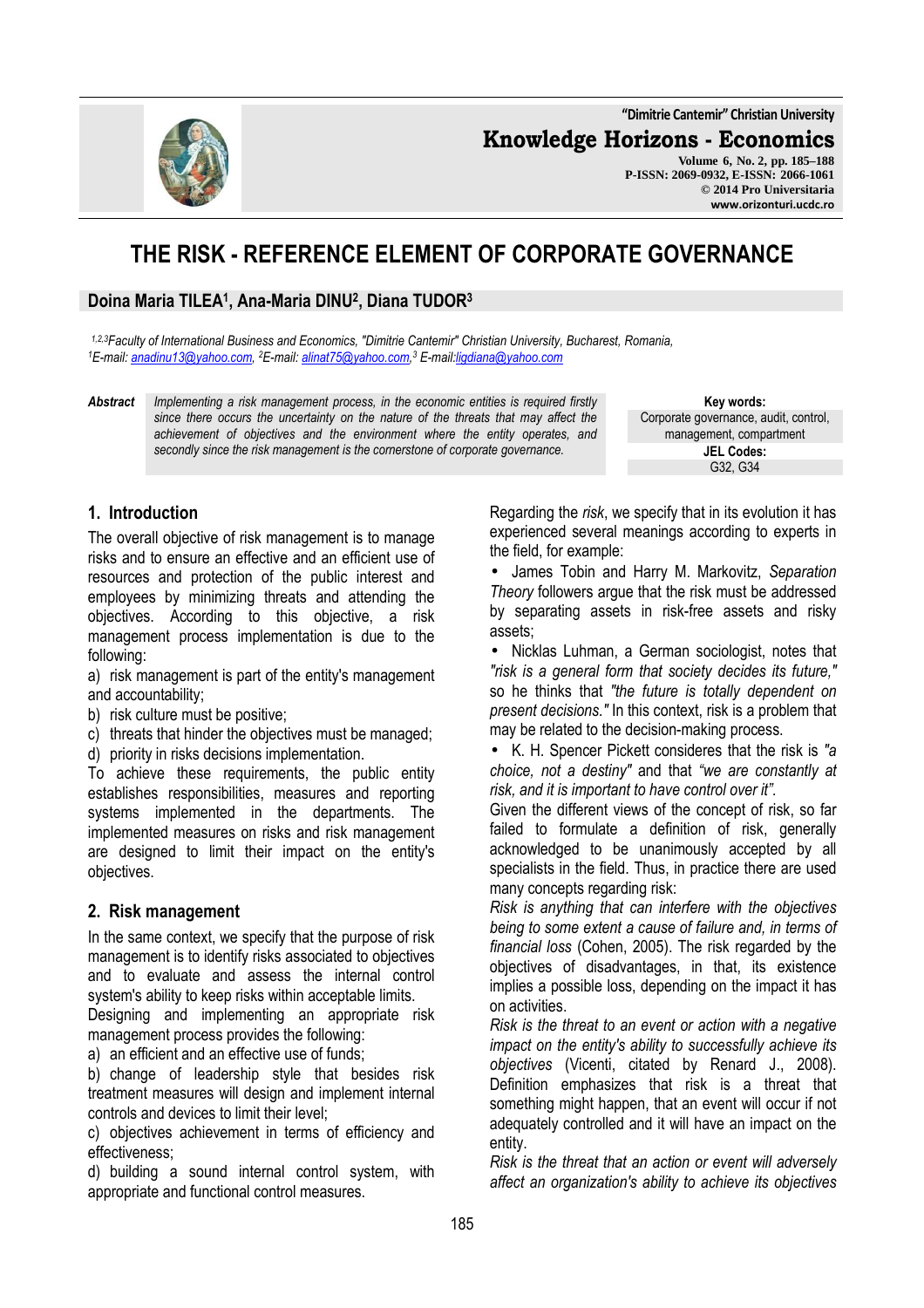**"Dimitrie Cantemir" Christian University**

**Knowledge Horizons - Economics**

**Volume 6, No. 2, pp. 185–188 P-ISSN: 2069-0932, E-ISSN: 2066-1061 © 2014 Pro Universitaria www.orizonturi.ucdc.ro**

# **THE RISK - REFERENCE ELEMENT OF CORPORATE GOVERNANCE**

## **Doina Maria TILEA<sup>1</sup> , Ana-Maria DINU<sup>2</sup> , Diana TUDOR<sup>3</sup>**

*1,2,3Faculty of International Business and Economics, "Dimitrie Cantemir" Christian University, Bucharest, Romania, <sup>1</sup>E-mail: anadinu13@yahoo.com, <sup>2</sup>E-mail: alinat75@yahoo.com, 3 E-mail:ligdiana@yahoo.com*

*Abstract Implementing a risk management process, in the economic entities is required firstly since there occurs the uncertainty on the nature of the threats that may affect the achievement of objectives and the environment where the entity operates, and secondly since the risk management is the cornerstone of corporate governance.*

**Key words:** Corporate governance, audit, control, management, compartment **JEL Codes:** G32, G34

# **1. Introduction**

The overall objective of risk management is to manage risks and to ensure an effective and an efficient use of resources and protection of the public interest and employees by minimizing threats and attending the objectives. According to this objective, a risk management process implementation is due to the following:

a) risk management is part of the entity's management and accountability;

- b) risk culture must be positive;
- c) threats that hinder the objectives must be managed;
- d) priority in risks decisions implementation.

To achieve these requirements, the public entity establishes responsibilities, measures and reporting systems implemented in the departments. The implemented measures on risks and risk management are designed to limit their impact on the entity's objectives.

#### **2. Risk management**

In the same context, we specify that the purpose of risk management is to identify risks associated to objectives and to evaluate and assess the internal control system's ability to keep risks within acceptable limits.

Designing and implementing an appropriate risk management process provides the following:

a) an efficient and an effective use of funds;

b) change of leadership style that besides risk treatment measures will design and implement internal controls and devices to limit their level;

c) objectives achievement in terms of efficiency and effectiveness;

d) building a sound internal control system, with appropriate and functional control measures.

Regarding the *risk*, we specify that in its evolution it has experienced several meanings according to experts in the field, for example:

• James Tobin and Harry M. Markovitz, *Separation Theory* followers argue that the risk must be addressed by separating assets in risk-free assets and risky assets;

• Nicklas Luhman, a German sociologist, notes that *"risk is a general form that society decides its future,"* so he thinks that *"the future is totally dependent on present decisions."* In this context, risk is a problem that may be related to the decision-making process.

• K. H. Spencer Pickett consideres that the risk is *"a choice, not a destiny"* and that *"we are constantly at risk, and it is important to have control over it".*

Given the different views of the concept of risk, so far failed to formulate a definition of risk, generally acknowledged to be unanimously accepted by all specialists in the field. Thus, in practice there are used many concepts regarding risk:

*Risk is anything that can interfere with the objectives being to some extent a cause of failure and, in terms of financial loss* (Cohen, 2005). The risk regarded by the objectives of disadvantages, in that, its existence implies a possible loss, depending on the impact it has on activities.

*Risk is the threat to an event or action with a negative impact on the entity's ability to successfully achieve its objectives* (Vicenti, citated by Renard J., 2008). Definition emphasizes that risk is a threat that something might happen, that an event will occur if not adequately controlled and it will have an impact on the entity.

*Risk is the threat that an action or event will adversely affect an organization's ability to achieve its objectives* 

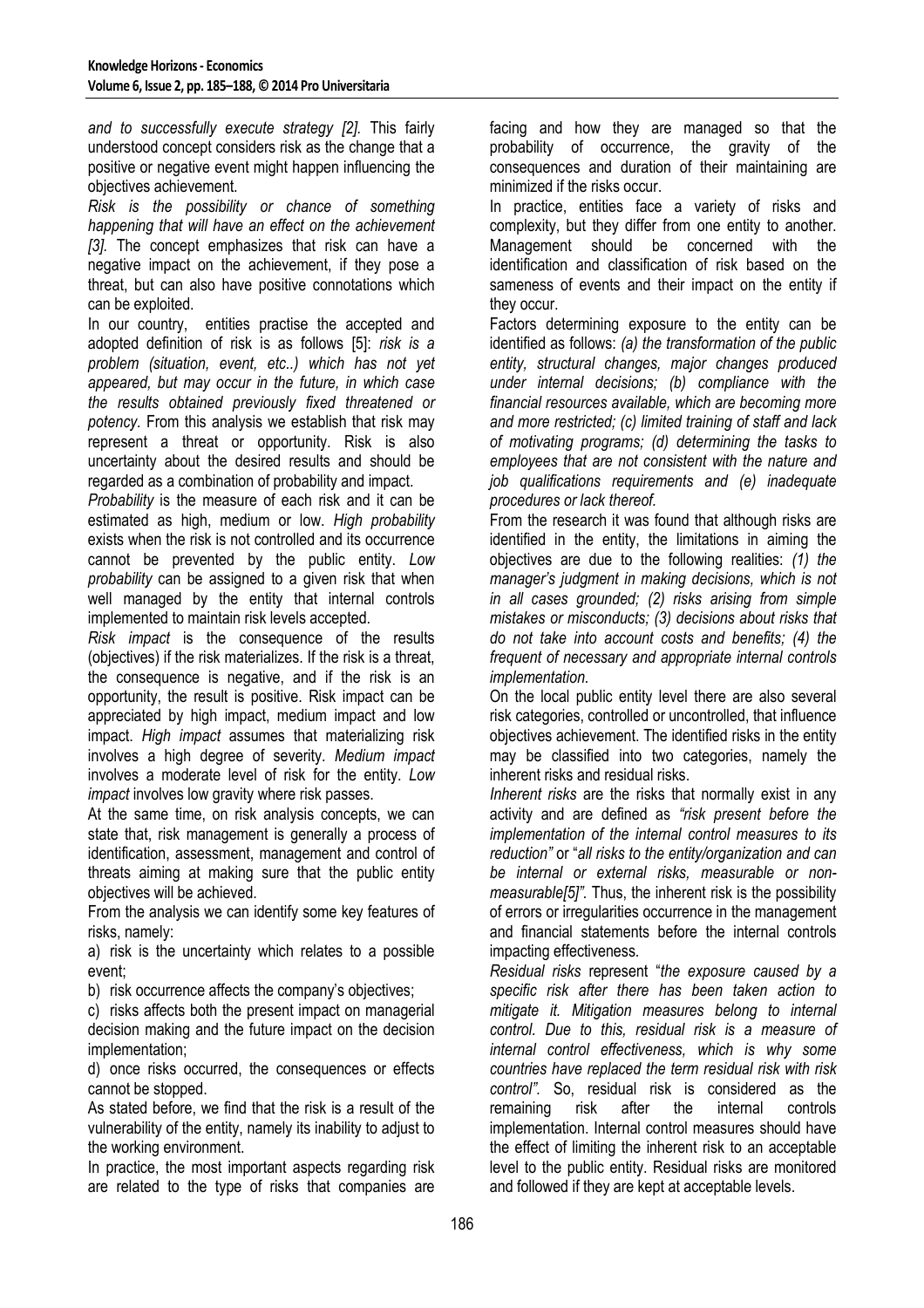*and to successfully execute strategy [2].* This fairly understood concept considers risk as the change that a positive or negative event might happen influencing the objectives achievement.

*Risk is the possibility or chance of something happening that will have an effect on the achievement [3].* The concept emphasizes that risk can have a negative impact on the achievement, if they pose a threat, but can also have positive connotations which can be exploited.

In our country, entities practise the accepted and adopted definition of risk is as follows [5]: *risk is a problem (situation, event, etc..) which has not yet appeared, but may occur in the future, in which case the results obtained previously fixed threatened or potency.* From this analysis we establish that risk may represent a threat or opportunity. Risk is also uncertainty about the desired results and should be regarded as a combination of probability and impact.

*Probability* is the measure of each risk and it can be estimated as high, medium or low. *High probability* exists when the risk is not controlled and its occurrence cannot be prevented by the public entity. *Low probability* can be assigned to a given risk that when well managed by the entity that internal controls implemented to maintain risk levels accepted.

*Risk impact* is the consequence of the results (objectives) if the risk materializes. If the risk is a threat, the consequence is negative, and if the risk is an opportunity, the result is positive. Risk impact can be appreciated by high impact, medium impact and low impact. *High impact* assumes that materializing risk involves a high degree of severity. *Medium impact* involves a moderate level of risk for the entity. *Low impact* involves low gravity where risk passes.

At the same time, on risk analysis concepts, we can state that, risk management is generally a process of identification, assessment, management and control of threats aiming at making sure that the public entity objectives will be achieved.

From the analysis we can identify some key features of risks, namely:

a) risk is the uncertainty which relates to a possible event;

b) risk occurrence affects the company's objectives;

c) risks affects both the present impact on managerial decision making and the future impact on the decision implementation;

d) once risks occurred, the consequences or effects cannot be stopped.

As stated before, we find that the risk is a result of the vulnerability of the entity, namely its inability to adjust to the working environment.

In practice, the most important aspects regarding risk are related to the type of risks that companies are facing and how they are managed so that the probability of occurrence, the gravity of the consequences and duration of their maintaining are minimized if the risks occur.

In practice, entities face a variety of risks and complexity, but they differ from one entity to another. Management should be concerned with the identification and classification of risk based on the sameness of events and their impact on the entity if they occur.

Factors determining exposure to the entity can be identified as follows: *(a) the transformation of the public entity, structural changes, major changes produced under internal decisions; (b) compliance with the financial resources available, which are becoming more and more restricted; (c) limited training of staff and lack of motivating programs; (d) determining the tasks to employees that are not consistent with the nature and job qualifications requirements and (e) inadequate procedures or lack thereof.* 

From the research it was found that although risks are identified in the entity, the limitations in aiming the objectives are due to the following realities: *(1) the manager's judgment in making decisions, which is not in all cases grounded; (2) risks arising from simple mistakes or misconducts; (3) decisions about risks that do not take into account costs and benefits; (4) the frequent of necessary and appropriate internal controls implementation.* 

On the local public entity level there are also several risk categories, controlled or uncontrolled, that influence objectives achievement. The identified risks in the entity may be classified into two categories, namely the inherent risks and residual risks.

*Inherent risks* are the risks that normally exist in any activity and are defined as *"risk present before the implementation of the internal control measures to its reduction"* or "*all risks to the entity/organization and can be internal or external risks, measurable or nonmeasurable[5]".* Thus, the inherent risk is the possibility of errors or irregularities occurrence in the management and financial statements before the internal controls impacting effectiveness.

*Residual risks* represent "*the exposure caused by a specific risk after there has been taken action to mitigate it. Mitigation measures belong to internal control. Due to this, residual risk is a measure of internal control effectiveness, which is why some countries have replaced the term residual risk with risk control".* So, residual risk is considered as the remaining risk after the internal controls implementation. Internal control measures should have the effect of limiting the inherent risk to an acceptable level to the public entity. Residual risks are monitored and followed if they are kept at acceptable levels.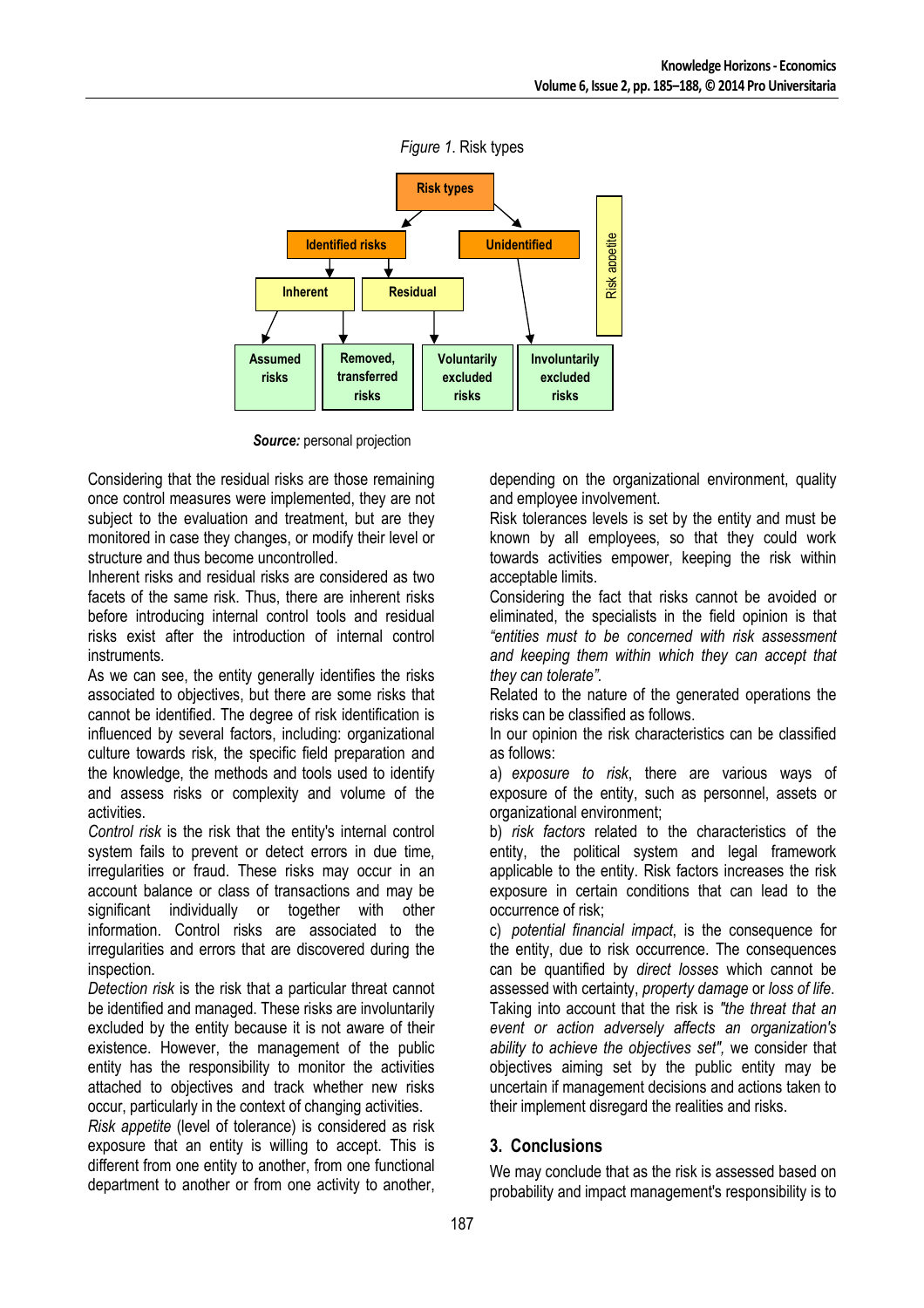

**Source:** personal projection

Considering that the residual risks are those remaining once control measures were implemented, they are not subject to the evaluation and treatment, but are they monitored in case they changes, or modify their level or structure and thus become uncontrolled.

Inherent risks and residual risks are considered as two facets of the same risk. Thus, there are inherent risks before introducing internal control tools and residual risks exist after the introduction of internal control instruments.

As we can see, the entity generally identifies the risks associated to objectives, but there are some risks that cannot be identified. The degree of risk identification is influenced by several factors, including: organizational culture towards risk, the specific field preparation and the knowledge, the methods and tools used to identify and assess risks or complexity and volume of the activities.

*Control risk* is the risk that the entity's internal control system fails to prevent or detect errors in due time, irregularities or fraud. These risks may occur in an account balance or class of transactions and may be significant individually or together with other information. Control risks are associated to the irregularities and errors that are discovered during the inspection.

*Detection risk* is the risk that a particular threat cannot be identified and managed. These risks are involuntarily excluded by the entity because it is not aware of their existence. However, the management of the public entity has the responsibility to monitor the activities attached to objectives and track whether new risks occur, particularly in the context of changing activities.

*Risk appetite* (level of tolerance) is considered as risk exposure that an entity is willing to accept. This is different from one entity to another, from one functional department to another or from one activity to another,

depending on the organizational environment, quality and employee involvement.

Risk tolerances levels is set by the entity and must be known by all employees, so that they could work towards activities empower, keeping the risk within acceptable limits.

Considering the fact that risks cannot be avoided or eliminated, the specialists in the field opinion is that *"entities must to be concerned with risk assessment and keeping them within which they can accept that they can tolerate".*

Related to the nature of the generated operations the risks can be classified as follows.

In our opinion the risk characteristics can be classified as follows:

a) *exposure to risk*, there are various ways of exposure of the entity, such as personnel, assets or organizational environment;

b) *risk factors* related to the characteristics of the entity, the political system and legal framework applicable to the entity. Risk factors increases the risk exposure in certain conditions that can lead to the occurrence of risk;

c) *potential financial impact*, is the consequence for the entity, due to risk occurrence. The consequences can be quantified by *direct losses* which cannot be assessed with certainty, *property damage* or *loss of life*. Taking into account that the risk is *"the threat that an event or action adversely affects an organization's ability to achieve the objectives set",* we consider that objectives aiming set by the public entity may be uncertain if management decisions and actions taken to their implement disregard the realities and risks.

# **3. Conclusions**

We may conclude that as the risk is assessed based on probability and impact management's responsibility is to